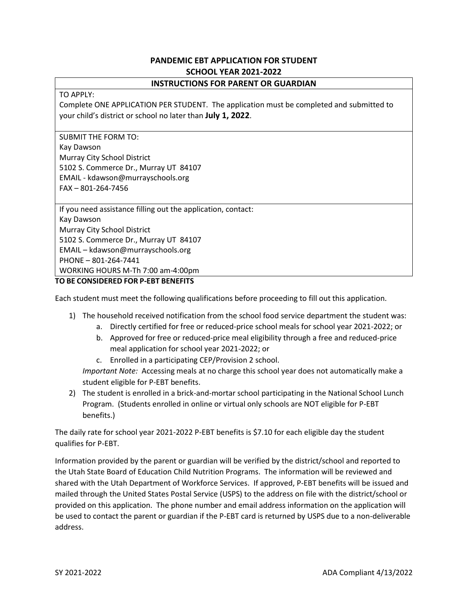## **PANDEMIC EBT APPLICATION FOR STUDENT SCHOOL YEAR 2021-2022**

## **INSTRUCTIONS FOR PARENT OR GUARDIAN**

### TO APPLY:

Complete ONE APPLICATION PER STUDENT. The application must be completed and submitted to your child's district or school no later than **July 1, 2022**.

SUBMIT THE FORM TO: Kay Dawson Murray City School District 5102 S. Commerce Dr., Murray UT 84107 EMAIL - kdawson@murrayschools.org FAX – 801-264-7456

If you need assistance filling out the application, contact: Kay Dawson Murray City School District 5102 S. Commerce Dr., Murray UT 84107 EMAIL – kdawson@murrayschools.org PHONE – 801-264-7441 WORKING HOURS M-Th 7:00 am-4:00pm

## **TO BE CONSIDERED FOR P-EBT BENEFITS**

Each student must meet the following qualifications before proceeding to fill out this application.

- 1) The household received notification from the school food service department the student was:
	- a. Directly certified for free or reduced-price school meals for school year 2021-2022; or
	- b. Approved for free or reduced-price meal eligibility through a free and reduced-price meal application for school year 2021-2022; or
	- c. Enrolled in a participating CEP/Provision 2 school.

*Important Note:* Accessing meals at no charge this school year does not automatically make a student eligible for P-EBT benefits.

2) The student is enrolled in a brick-and-mortar school participating in the National School Lunch Program. (Students enrolled in online or virtual only schools are NOT eligible for P-EBT benefits.)

The daily rate for school year 2021-2022 P-EBT benefits is \$7.10 for each eligible day the student qualifies for P-EBT.

Information provided by the parent or guardian will be verified by the district/school and reported to the Utah State Board of Education Child Nutrition Programs. The information will be reviewed and shared with the Utah Department of Workforce Services. If approved, P-EBT benefits will be issued and mailed through the United States Postal Service (USPS) to the address on file with the district/school or provided on this application. The phone number and email address information on the application will be used to contact the parent or guardian if the P-EBT card is returned by USPS due to a non-deliverable address.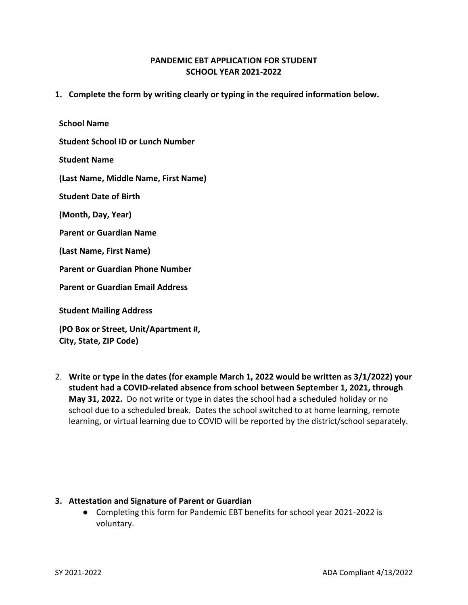## **PANDEMIC EBT APPLICATION FOR STUDENT SCHOOL YEAR 2021-2022**

**1. Complete the form by writing clearly or typing in the required information below.**

**School Name**

**Student School ID or Lunch Number**

**Student Name**

**(Last Name, Middle Name, First Name)**

**Student Date of Birth**

**(Month, Day, Year)**

**Parent or Guardian Name**

**(Last Name, First Name)**

**Parent or Guardian Phone Number**

**Parent or Guardian Email Address**

**Student Mailing Address**

**(PO Box or Street, Unit/Apartment #, City, State, ZIP Code)**

2. **Write or type in the dates (for example March 1, 2022 would be written as 3/1/2022) your student had a COVID-related absence from school between September 1, 2021, through May 31, 2022.** Do not write or type in dates the school had a scheduled holiday or no school due to a scheduled break. Dates the school switched to at home learning, remote learning, or virtual learning due to COVID will be reported by the district/school separately.

### **3. Attestation and Signature of Parent or Guardian**

● Completing this form for Pandemic EBT benefits for school year 2021-2022 is voluntary.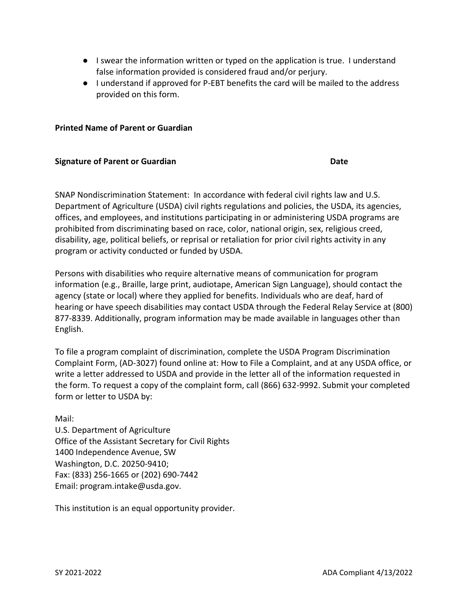- I swear the information written or typed on the application is true. I understand false information provided is considered fraud and/or perjury.
- I understand if approved for P-EBT benefits the card will be mailed to the address provided on this form.

## **Printed Name of Parent or Guardian**

### **Signature of Parent or Guardian Date**

SNAP Nondiscrimination Statement: In accordance with federal civil rights law and U.S. Department of Agriculture (USDA) civil rights regulations and policies, the USDA, its agencies, offices, and employees, and institutions participating in or administering USDA programs are prohibited from discriminating based on race, color, national origin, sex, religious creed, disability, age, political beliefs, or reprisal or retaliation for prior civil rights activity in any program or activity conducted or funded by USDA.

Persons with disabilities who require alternative means of communication for program information (e.g., Braille, large print, audiotape, American Sign Language), should contact the agency (state or local) where they applied for benefits. Individuals who are deaf, hard of hearing or have speech disabilities may contact USDA through the Federal Relay Service at (800) 877-8339. Additionally, program information may be made available in languages other than English.

To file a program complaint of discrimination, complete the USDA Program Discrimination Complaint Form, (AD-3027) found online at: How to File a Complaint, and at any USDA office, or write a letter addressed to USDA and provide in the letter all of the information requested in the form. To request a copy of the complaint form, call (866) 632-9992. Submit your completed form or letter to USDA by:

Mail:

U.S. Department of Agriculture Office of the Assistant Secretary for Civil Rights 1400 Independence Avenue, SW Washington, D.C. 20250-9410; Fax: (833) 256-1665 or (202) 690-7442 Email: program.intake@usda.gov.

This institution is an equal opportunity provider.